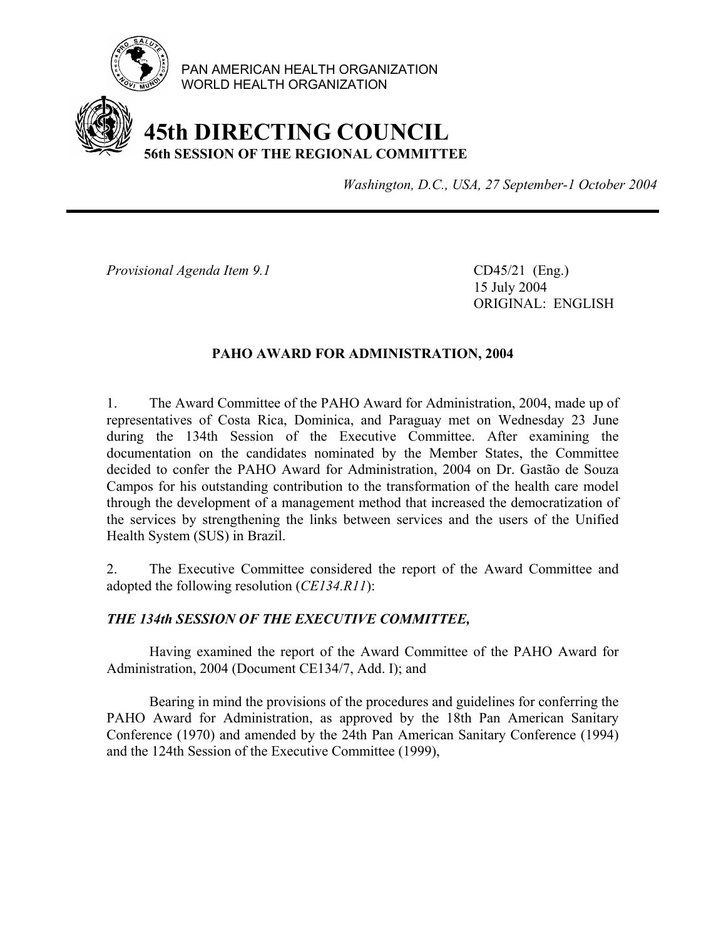

PAN AMERICAN HEALTH ORGANIZATION WORLD HEALTH ORGANIZATION

## **45th DIRECTING COUNCIL 56th SESSION OF THE REGIONAL COMMITTEE**

*Washington, D.C., USA, 27 September-1 October 2004*

*Provisional Agenda Item 9.1* CD45/21 (Eng.)

 15 July 2004 ORIGINAL: ENGLISH

### **PAHO AWARD FOR ADMINISTRATION, 2004**

1. The Award Committee of the PAHO Award for Administration, 2004, made up of representatives of Costa Rica, Dominica, and Paraguay met on Wednesday 23 June during the 134th Session of the Executive Committee. After examining the documentation on the candidates nominated by the Member States, the Committee decided to confer the PAHO Award for Administration, 2004 on Dr. Gastão de Souza Campos for his outstanding contribution to the transformation of the health care model through the development of a management method that increased the democratization of the services by strengthening the links between services and the users of the Unified Health System (SUS) in Brazil.

2. The Executive Committee considered the report of the Award Committee and adopted the following resolution (*CE134.R11*):

### *THE 134th SESSION OF THE EXECUTIVE COMMITTEE,*

 Having examined the report of the Award Committee of the PAHO Award for Administration, 2004 (Document CE134/7, Add. I); and

 Bearing in mind the provisions of the procedures and guidelines for conferring the PAHO Award for Administration, as approved by the 18th Pan American Sanitary Conference (1970) and amended by the 24th Pan American Sanitary Conference (1994) and the 124th Session of the Executive Committee (1999),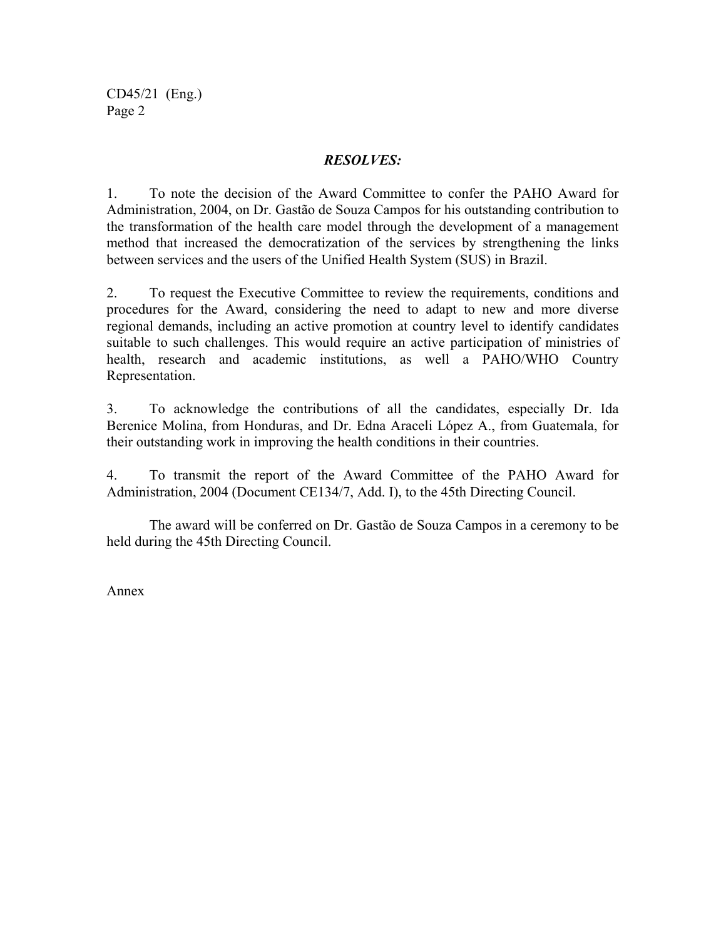CD45/21 (Eng.) Page 2

### *RESOLVES:*

1. To note the decision of the Award Committee to confer the PAHO Award for Administration, 2004, on Dr. Gastão de Souza Campos for his outstanding contribution to the transformation of the health care model through the development of a management method that increased the democratization of the services by strengthening the links between services and the users of the Unified Health System (SUS) in Brazil.

2. To request the Executive Committee to review the requirements, conditions and procedures for the Award, considering the need to adapt to new and more diverse regional demands, including an active promotion at country level to identify candidates suitable to such challenges. This would require an active participation of ministries of health, research and academic institutions, as well a PAHO/WHO Country Representation.

3. To acknowledge the contributions of all the candidates, especially Dr. Ida Berenice Molina, from Honduras, and Dr. Edna Araceli López A., from Guatemala, for their outstanding work in improving the health conditions in their countries.

4. To transmit the report of the Award Committee of the PAHO Award for Administration, 2004 (Document CE134/7, Add. I), to the 45th Directing Council.

 The award will be conferred on Dr. Gastão de Souza Campos in a ceremony to be held during the 45th Directing Council.

Annex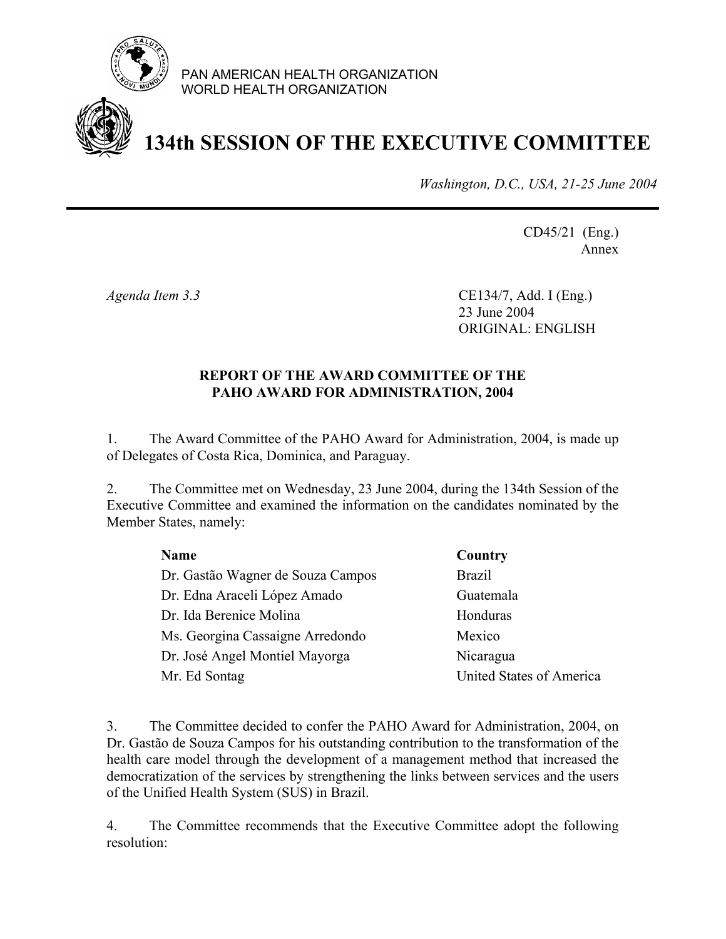

PAN AMERICAN HEALTH ORGANIZATION WORLD HEALTH ORGANIZATION

# **134th SESSION OF THE EXECUTIVE COMMITTEE**

*Washington, D.C., USA, 21-25 June 2004*

CD45/21 (Eng.) Annex

*Agenda Item 3.3* CE134/7, Add. I (Eng.) 23 June 2004 ORIGINAL: ENGLISH

### **REPORT OF THE AWARD COMMITTEE OF THE PAHO AWARD FOR ADMINISTRATION, 2004**

1. The Award Committee of the PAHO Award for Administration, 2004, is made up of Delegates of Costa Rica, Dominica, and Paraguay.

2. The Committee met on Wednesday, 23 June 2004, during the 134th Session of the Executive Committee and examined the information on the candidates nominated by the Member States, namely:

| <b>Name</b>                       | Country                  |
|-----------------------------------|--------------------------|
| Dr. Gastão Wagner de Souza Campos | <b>Brazil</b>            |
| Dr. Edna Araceli López Amado      | Guatemala                |
| Dr. Ida Berenice Molina           | Honduras                 |
| Ms. Georgina Cassaigne Arredondo  | Mexico                   |
| Dr. José Angel Montiel Mayorga    | Nicaragua                |
| Mr. Ed Sontag                     | United States of America |
|                                   |                          |

3. The Committee decided to confer the PAHO Award for Administration, 2004, on Dr. Gastão de Souza Campos for his outstanding contribution to the transformation of the health care model through the development of a management method that increased the democratization of the services by strengthening the links between services and the users of the Unified Health System (SUS) in Brazil.

4. The Committee recommends that the Executive Committee adopt the following resolution: